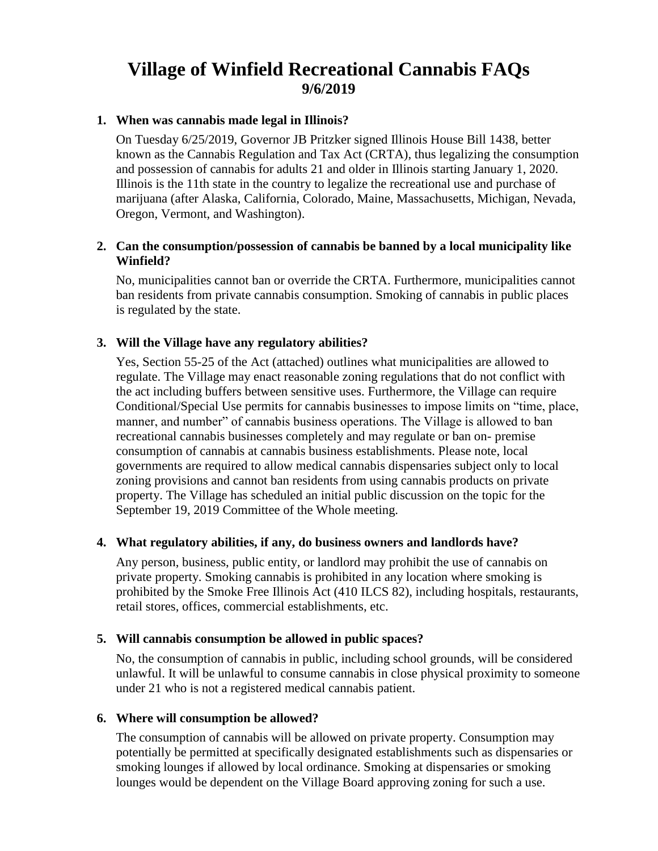# **Village of Winfield Recreational Cannabis FAQs 9/6/2019**

## **1. When was cannabis made legal in Illinois?**

On Tuesday 6/25/2019, Governor JB Pritzker signed Illinois House Bill 1438, better known as the Cannabis Regulation and Tax Act (CRTA), thus legalizing the consumption and possession of cannabis for adults 21 and older in Illinois starting January 1, 2020. Illinois is the 11th state in the country to legalize the recreational use and purchase of marijuana (after Alaska, California, Colorado, Maine, Massachusetts, Michigan, Nevada, Oregon, Vermont, and Washington).

#### **2. Can the consumption/possession of cannabis be banned by a local municipality like Winfield?**

No, municipalities cannot ban or override the CRTA. Furthermore, municipalities cannot ban residents from private cannabis consumption. Smoking of cannabis in public places is regulated by the state.

## **3. Will the Village have any regulatory abilities?**

Yes, Section 55-25 of the Act (attached) outlines what municipalities are allowed to regulate. The Village may enact reasonable zoning regulations that do not conflict with the act including buffers between sensitive uses. Furthermore, the Village can require Conditional/Special Use permits for cannabis businesses to impose limits on "time, place, manner, and number" of cannabis business operations. The Village is allowed to ban recreational cannabis businesses completely and may regulate or ban on- premise consumption of cannabis at cannabis business establishments. Please note, local governments are required to allow medical cannabis dispensaries subject only to local zoning provisions and cannot ban residents from using cannabis products on private property. The Village has scheduled an initial public discussion on the topic for the September 19, 2019 Committee of the Whole meeting.

#### **4. What regulatory abilities, if any, do business owners and landlords have?**

Any person, business, public entity, or landlord may prohibit the use of cannabis on private property. Smoking cannabis is prohibited in any location where smoking is prohibited by the Smoke Free Illinois Act (410 ILCS 82), including hospitals, restaurants, retail stores, offices, commercial establishments, etc.

#### **5. Will cannabis consumption be allowed in public spaces?**

No, the consumption of cannabis in public, including school grounds, will be considered unlawful. It will be unlawful to consume cannabis in close physical proximity to someone under 21 who is not a registered medical cannabis patient.

#### **6. Where will consumption be allowed?**

The consumption of cannabis will be allowed on private property. Consumption may potentially be permitted at specifically designated establishments such as dispensaries or smoking lounges if allowed by local ordinance. Smoking at dispensaries or smoking lounges would be dependent on the Village Board approving zoning for such a use.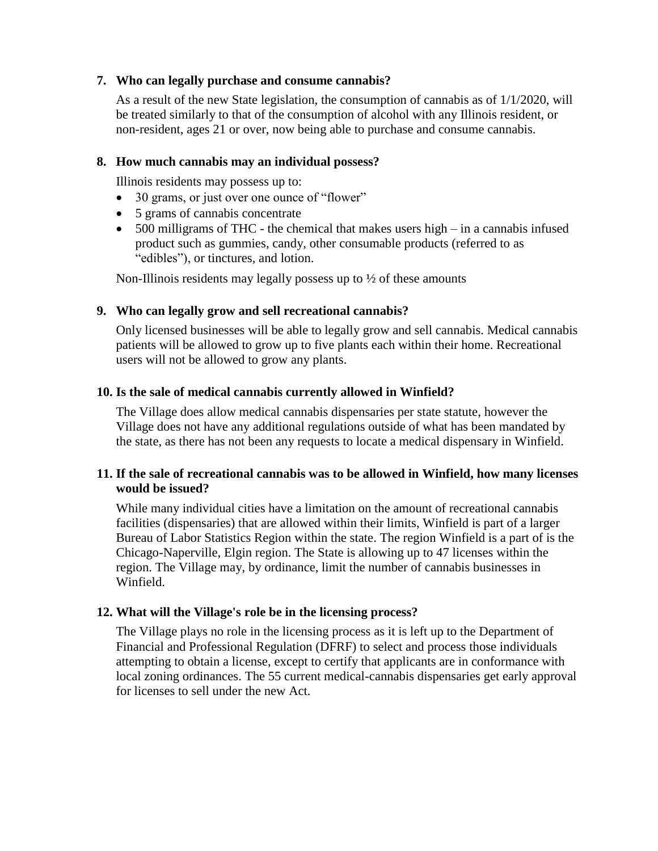## **7. Who can legally purchase and consume cannabis?**

As a result of the new State legislation, the consumption of cannabis as of 1/1/2020, will be treated similarly to that of the consumption of alcohol with any Illinois resident, or non-resident, ages 21 or over, now being able to purchase and consume cannabis.

#### **8. How much cannabis may an individual possess?**

Illinois residents may possess up to:

- 30 grams, or just over one ounce of "flower"
- 5 grams of cannabis concentrate
- 500 milligrams of THC the chemical that makes users high in a cannabis infused product such as gummies, candy, other consumable products (referred to as "edibles"), or tinctures, and lotion.

Non-Illinois residents may legally possess up to  $\frac{1}{2}$  of these amounts

#### **9. Who can legally grow and sell recreational cannabis?**

Only licensed businesses will be able to legally grow and sell cannabis. Medical cannabis patients will be allowed to grow up to five plants each within their home. Recreational users will not be allowed to grow any plants.

## **10. Is the sale of medical cannabis currently allowed in Winfield?**

The Village does allow medical cannabis dispensaries per state statute, however the Village does not have any additional regulations outside of what has been mandated by the state, as there has not been any requests to locate a medical dispensary in Winfield.

## **11. If the sale of recreational cannabis was to be allowed in Winfield, how many licenses would be issued?**

While many individual cities have a limitation on the amount of recreational cannabis facilities (dispensaries) that are allowed within their limits, Winfield is part of a larger Bureau of Labor Statistics Region within the state. The region Winfield is a part of is the Chicago-Naperville, Elgin region. The State is allowing up to 47 licenses within the region. The Village may, by ordinance, limit the number of cannabis businesses in Winfield.

## **12. What will the Village's role be in the licensing process?**

The Village plays no role in the licensing process as it is left up to the Department of Financial and Professional Regulation (DFRF) to select and process those individuals attempting to obtain a license, except to certify that applicants are in conformance with local zoning ordinances. The 55 current medical-cannabis dispensaries get early approval for licenses to sell under the new Act.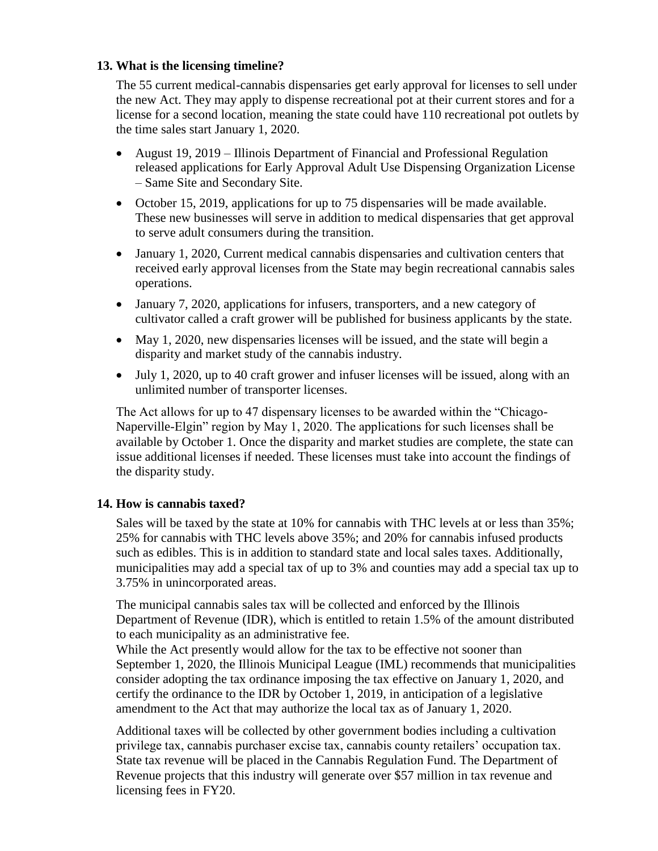## **13. What is the licensing timeline?**

The 55 current medical-cannabis dispensaries get early approval for licenses to sell under the new Act. They may apply to dispense recreational pot at their current stores and for a license for a second location, meaning the state could have 110 recreational pot outlets by the time sales start January 1, 2020.

- August 19, 2019 Illinois Department of Financial and Professional Regulation released applications for Early Approval Adult Use Dispensing Organization License – Same Site and Secondary Site.
- October 15, 2019, applications for up to 75 dispensaries will be made available. These new businesses will serve in addition to medical dispensaries that get approval to serve adult consumers during the transition.
- January 1, 2020, Current medical cannabis dispensaries and cultivation centers that received early approval licenses from the State may begin recreational cannabis sales operations.
- January 7, 2020, applications for infusers, transporters, and a new category of cultivator called a craft grower will be published for business applicants by the state.
- May 1, 2020, new dispensaries licenses will be issued, and the state will begin a disparity and market study of the cannabis industry.
- July 1, 2020, up to 40 craft grower and infuser licenses will be issued, along with an unlimited number of transporter licenses.

The Act allows for up to 47 dispensary licenses to be awarded within the "Chicago-Naperville-Elgin" region by May 1, 2020. The applications for such licenses shall be available by October 1. Once the disparity and market studies are complete, the state can issue additional licenses if needed. These licenses must take into account the findings of the disparity study.

# **14. How is cannabis taxed?**

Sales will be taxed by the state at 10% for cannabis with THC levels at or less than 35%; 25% for cannabis with THC levels above 35%; and 20% for cannabis infused products such as edibles. This is in addition to standard state and local sales taxes. Additionally, municipalities may add a special tax of up to 3% and counties may add a special tax up to 3.75% in unincorporated areas.

The municipal cannabis sales tax will be collected and enforced by the Illinois Department of Revenue (IDR), which is entitled to retain 1.5% of the amount distributed to each municipality as an administrative fee.

While the Act presently would allow for the tax to be effective not sooner than September 1, 2020, the Illinois Municipal League (IML) recommends that municipalities consider adopting the tax ordinance imposing the tax effective on January 1, 2020, and certify the ordinance to the IDR by October 1, 2019, in anticipation of a legislative amendment to the Act that may authorize the local tax as of January 1, 2020.

Additional taxes will be collected by other government bodies including a cultivation privilege tax, cannabis purchaser excise tax, cannabis county retailers' occupation tax. State tax revenue will be placed in the Cannabis Regulation Fund. The Department of Revenue projects that this industry will generate over \$57 million in tax revenue and licensing fees in FY20.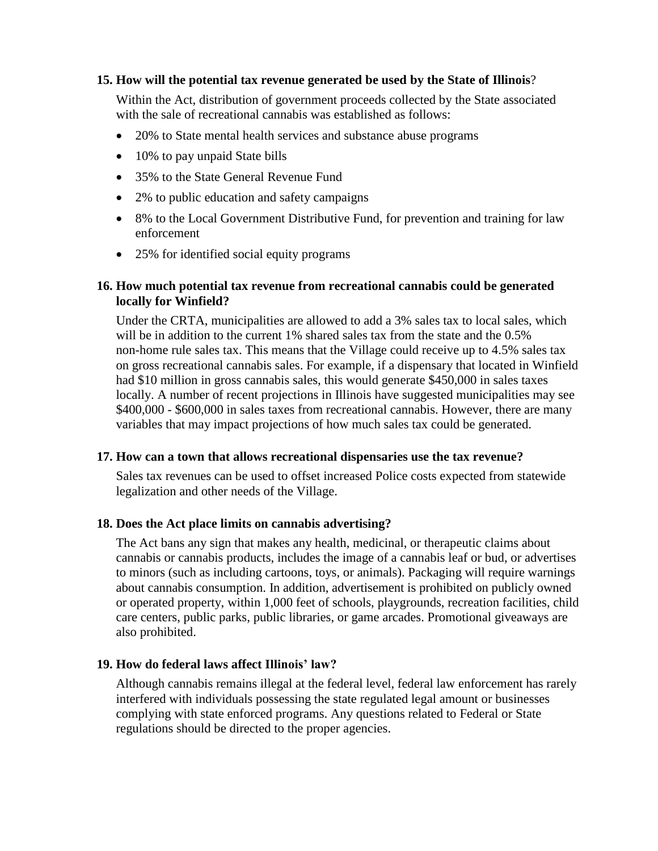## **15. How will the potential tax revenue generated be used by the State of Illinois**?

Within the Act, distribution of government proceeds collected by the State associated with the sale of recreational cannabis was established as follows:

- 20% to State mental health services and substance abuse programs
- 10% to pay unpaid State bills
- 35% to the State General Revenue Fund
- 2% to public education and safety campaigns
- 8% to the Local Government Distributive Fund, for prevention and training for law enforcement
- 25% for identified social equity programs

## **16. How much potential tax revenue from recreational cannabis could be generated locally for Winfield?**

Under the CRTA, municipalities are allowed to add a 3% sales tax to local sales, which will be in addition to the current 1% shared sales tax from the state and the 0.5% non-home rule sales tax. This means that the Village could receive up to 4.5% sales tax on gross recreational cannabis sales. For example, if a dispensary that located in Winfield had \$10 million in gross cannabis sales, this would generate \$450,000 in sales taxes locally. A number of recent projections in Illinois have suggested municipalities may see \$400,000 - \$600,000 in sales taxes from recreational cannabis. However, there are many variables that may impact projections of how much sales tax could be generated.

## **17. How can a town that allows recreational dispensaries use the tax revenue?**

Sales tax revenues can be used to offset increased Police costs expected from statewide legalization and other needs of the Village.

## **18. Does the Act place limits on cannabis advertising?**

The Act bans any sign that makes any health, medicinal, or therapeutic claims about cannabis or cannabis products, includes the image of a cannabis leaf or bud, or advertises to minors (such as including cartoons, toys, or animals). Packaging will require warnings about cannabis consumption. In addition, advertisement is prohibited on publicly owned or operated property, within 1,000 feet of schools, playgrounds, recreation facilities, child care centers, public parks, public libraries, or game arcades. Promotional giveaways are also prohibited.

## **19. How do federal laws affect Illinois' law?**

Although cannabis remains illegal at the federal level, federal law enforcement has rarely interfered with individuals possessing the state regulated legal amount or businesses complying with state enforced programs. Any questions related to Federal or State regulations should be directed to the proper agencies.